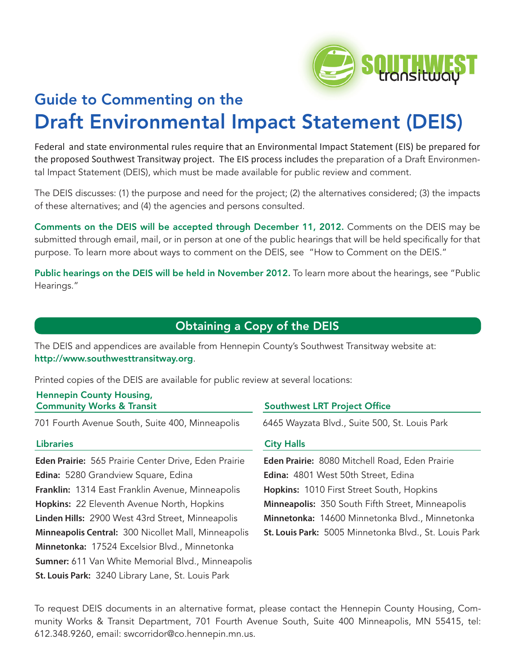

# Guide to Commenting on the Draft Environmental Impact Statement (DEIS)

Federal and state environmental rules require that an Environmental Impact Statement (EIS) be prepared for the proposed Southwest Transitway project. The EIS process includes the preparation of a Draft Environmental Impact Statement (DEIS), which must be made available for public review and comment.

The DEIS discusses: (1) the purpose and need for the project; (2) the alternatives considered; (3) the impacts of these alternatives; and (4) the agencies and persons consulted.

Comments on the DEIS will be accepted through December 11, 2012. Comments on the DEIS may be submitted through email, mail, or in person at one of the public hearings that will be held specifically for that purpose. To learn more about ways to comment on the DEIS, see "How to Comment on the DEIS."

Public hearings on the DEIS will be held in November 2012. To learn more about the hearings, see "Public Hearings."

# Obtaining a Copy of the DEIS

The DEIS and appendices are available from Hennepin County's Southwest Transitway website at: http://www.southwesttransitway.org.

Printed copies of the DEIS are available for public review at several locations:

| <b>Hennepin County Housing,</b><br><b>Community Works &amp; Transit</b> | <b>Southwest LRT Project Office</b><br>6465 Wayzata Blvd., Suite 500, St. Louis Park |  |
|-------------------------------------------------------------------------|--------------------------------------------------------------------------------------|--|
| 701 Fourth Avenue South, Suite 400, Minneapolis                         |                                                                                      |  |
| <b>Libraries</b>                                                        | <b>City Halls</b>                                                                    |  |
| Eden Prairie: 565 Prairie Center Drive, Eden Prairie                    | Eden Prairie: 8080 Mitchell Road, Eden Prairie                                       |  |
| <b>Edina:</b> 5280 Grandview Square, Edina                              | Edina: 4801 West 50th Street, Edina                                                  |  |
| Franklin: 1314 East Franklin Avenue, Minneapolis                        | Hopkins: 1010 First Street South, Hopkins                                            |  |
| Hopkins: 22 Eleventh Avenue North, Hopkins                              | Minneapolis: 350 South Fifth Street, Minneapolis                                     |  |
| Linden Hills: 2900 West 43rd Street, Minneapolis                        | Minnetonka: 14600 Minnetonka Blvd., Minnetonka                                       |  |
| Minneapolis Central: 300 Nicollet Mall, Minneapolis                     | St. Louis Park: 5005 Minnetonka Blvd., St. Louis Park                                |  |
| Minnetonka: 17524 Excelsior Blvd., Minnetonka                           |                                                                                      |  |
| <b>Sumner:</b> 611 Van White Memorial Blvd., Minneapolis                |                                                                                      |  |
| St. Louis Park: 3240 Library Lane, St. Louis Park                       |                                                                                      |  |

To request DEIS documents in an alternative format, please contact the Hennepin County Housing, Community Works & Transit Department, 701 Fourth Avenue South, Suite 400 Minneapolis, MN 55415, tel: 612.348.9260, email: swcorridor@co.hennepin.mn.us.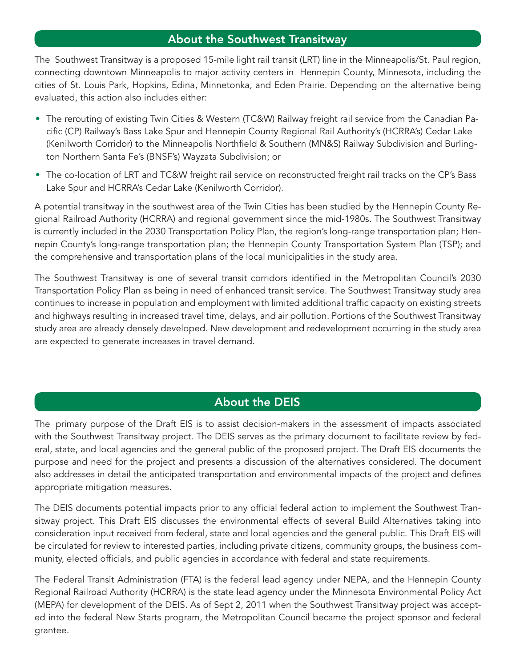#### About the Southwest Transitway

The Southwest Transitway is a proposed 15-mile light rail transit (LRT) line in the Minneapolis/St. Paul region, connecting downtown Minneapolis to major activity centers in Hennepin County, Minnesota, including the cities of St. Louis Park, Hopkins, Edina, Minnetonka, and Eden Prairie. Depending on the alternative being evaluated, this action also includes either:

- The rerouting of existing Twin Cities & Western (TC&W) Railway freight rail service from the Canadian Pacific (CP) Railway's Bass Lake Spur and Hennepin County Regional Rail Authority's (HCRRA's) Cedar Lake (Kenilworth Corridor) to the Minneapolis Northfield & Southern (MN&S) Railway Subdivision and Burlington Northern Santa Fe's (BNSF's) Wayzata Subdivision; or
- The co-location of LRT and TC&W freight rail service on reconstructed freight rail tracks on the CP's Bass Lake Spur and HCRRA's Cedar Lake (Kenilworth Corridor).

A potential transitway in the southwest area of the Twin Cities has been studied by the Hennepin County Regional Railroad Authority (HCRRA) and regional government since the mid-1980s. The Southwest Transitway is currently included in the 2030 Transportation Policy Plan, the region's long-range transportation plan; Hennepin County's long-range transportation plan; the Hennepin County Transportation System Plan (TSP); and the comprehensive and transportation plans of the local municipalities in the study area.

The Southwest Transitway is one of several transit corridors identified in the Metropolitan Council's 2030 Transportation Policy Plan as being in need of enhanced transit service. The Southwest Transitway study area continues to increase in population and employment with limited additional traffic capacity on existing streets and highways resulting in increased travel time, delays, and air pollution. Portions of the Southwest Transitway study area are already densely developed. New development and redevelopment occurring in the study area are expected to generate increases in travel demand.

#### About the DEIS

The primary purpose of the Draft EIS is to assist decision-makers in the assessment of impacts associated with the Southwest Transitway project. The DEIS serves as the primary document to facilitate review by federal, state, and local agencies and the general public of the proposed project. The Draft EIS documents the purpose and need for the project and presents a discussion of the alternatives considered. The document also addresses in detail the anticipated transportation and environmental impacts of the project and defines appropriate mitigation measures.

The DEIS documents potential impacts prior to any official federal action to implement the Southwest Transitway project. This Draft EIS discusses the environmental effects of several Build Alternatives taking into consideration input received from federal, state and local agencies and the general public. This Draft EIS will be circulated for review to interested parties, including private citizens, community groups, the business community, elected officials, and public agencies in accordance with federal and state requirements.

The Federal Transit Administration (FTA) is the federal lead agency under NEPA, and the Hennepin County Regional Railroad Authority (HCRRA) is the state lead agency under the Minnesota Environmental Policy Act (MEPA) for development of the DEIS. As of Sept 2, 2011 when the Southwest Transitway project was accepted into the federal New Starts program, the Metropolitan Council became the project sponsor and federal grantee.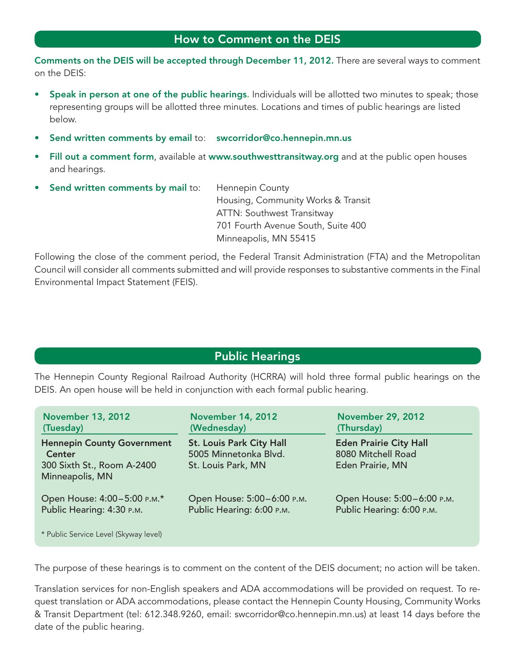#### How to Comment on the DEIS

Comments on the DEIS will be accepted through December 11, 2012. There are several ways to comment on the DEIS:

- Speak in person at one of the public hearings. Individuals will be allotted two minutes to speak; those representing groups will be allotted three minutes. Locations and times of public hearings are listed below.
- Send written comments by email to: swcorridor@co.hennepin.mn.us
- Fill out a comment form, available at www.southwesttransitway.org and at the public open houses and hearings.
- Send written comments by mail to: Hennepin County

Housing, Community Works & Transit ATTN: Southwest Transitway 701 Fourth Avenue South, Suite 400 Minneapolis, MN 55415

Following the close of the comment period, the Federal Transit Administration (FTA) and the Metropolitan Council will consider all comments submitted and will provide responses to substantive comments in the Final Environmental Impact Statement (FEIS).

## Public Hearings

The Hennepin County Regional Railroad Authority (HCRRA) will hold three formal public hearings on the DEIS. An open house will be held in conjunction with each formal public hearing.

| <b>November 13, 2012</b>                                                                     | <b>November 14, 2012</b>                                                       | <b>November 29, 2012</b>                                                |
|----------------------------------------------------------------------------------------------|--------------------------------------------------------------------------------|-------------------------------------------------------------------------|
| (Tuesday)                                                                                    | (Wednesday)                                                                    | (Thursday)                                                              |
| <b>Hennepin County Government</b><br>Center<br>300 Sixth St., Room A-2400<br>Minneapolis, MN | <b>St. Louis Park City Hall</b><br>5005 Minnetonka Blvd.<br>St. Louis Park, MN | <b>Eden Prairie City Hall</b><br>8080 Mitchell Road<br>Eden Prairie, MN |
| Open House: 4:00-5:00 P.M.*                                                                  | Open House: 5:00-6:00 P.M.                                                     | Open House: 5:00-6:00 P.M.                                              |
| Public Hearing: 4:30 P.M.                                                                    | Public Hearing: 6:00 P.M.                                                      | Public Hearing: 6:00 P.M.                                               |
| * Public Service Level (Skyway level)                                                        |                                                                                |                                                                         |

The purpose of these hearings is to comment on the content of the DEIS document; no action will be taken.

Translation services for non-English speakers and ADA accommodations will be provided on request. To request translation or ADA accommodations, please contact the Hennepin County Housing, Community Works & Transit Department (tel: 612.348.9260, email: swcorridor@co.hennepin.mn.us) at least 14 days before the date of the public hearing.